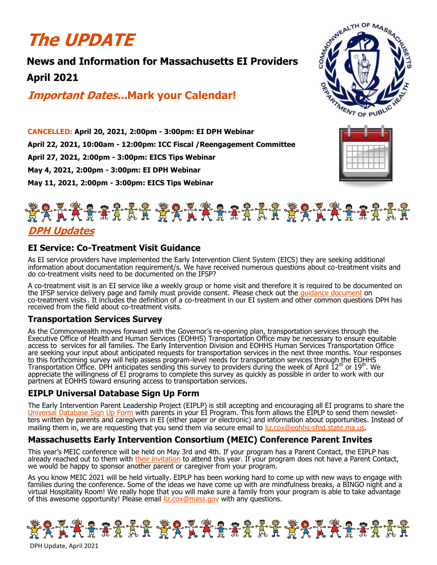# **The UPDATE**

## **News and Information for Massachusetts EI Providers April 2021**

**Important Dates...Mark your Calendar!**



**CANCELLED: April 20, 2021, 2:00pm - 3:00pm: EI DPH Webinar April 22, 2021, 10:00am - 12:00pm: ICC Fiscal /Reengagement Committee April 27, 2021, 2:00pm - 3:00pm: EICS Tips Webinar May 4, 2021, 2:00pm - 3:00pm: EI DPH Webinar May 11, 2021, 2:00pm - 3:00pm: EICS Tips Webinar**





### **DPH Updates**

#### **EI Service: Co-Treatment Visit Guidance**

As EI service providers have implemented the Early Intervention Client System (EICS) they are seeking additional information about documentation requirement/s. We have received numerous questions about co-treatment visits and do co-treatment visits need to be documented on the IFSP?

A co-treatment visit is an EI service like a weekly group or home visit and therefore it is required to be documented on the IFSP service delivery page and family must provide consent. Please check out the quidance document on co-treatment visits . It includes the definition of a co-treatment in our EI system and other common questions DPH has received from the field about co-treatment visits. 

#### **Transportation Services Survey**

As the Commonwealth moves forward with the Governor's re-opening plan, transportation services through the Executive Office of Health and Human Services (EOHHS) Transportation Office may be necessary to ensure equitable access to services for all families. The Early Intervention Division and EOHHS Human Services Transportation Office are seeking your input about anticipated requests for transportation services in the next three months. Your responses to this forthcoming survey will help assess program-level needs for transportation services through the EOHHS Transportation Office. DPH anticipates sending this survey to providers during the week of April  $12<sup>th</sup>$  or  $19<sup>th</sup>$ . We appreciate the willingness of EI programs to complete this survey as quickly as possible in order to work with our partners at EOHHS toward ensuring access to transportation services.

#### **EIPLP Universal Database Sign Up Form**

The Early Intervention Parent Leadership Project (EIPLP) is still accepting and encouraging all EI programs to share the Database Sign Up Form with parents in your EI Program. This form allows the EIPLP to send them newsletters written by parents and caregivers in EI (either paper or electronic) and information about opportunities. Instead of mailing them in, we are requesting that you send them via secure email to liz.cox@eohhs-[sfed.state.ma.us](mailto:liz.cox@eohhs-sfed.state.ma.us).

#### **Massachusetts Early Intervention Consortium (MEIC) Conference Parent Invites**

This year's MEIC conference will be held on May 3rd and 4th. If your program has a Parent Contact, the EIPLP has already reached out to them with [their invitation](https://files.constantcontact.com/dafff9ae001/fff67e8a-1300-4f18-8355-d6d095211027.png) to attend this year. If your program does not have a Parent Contact, we would be happy to sponsor another parent or caregiver from your program.

As you know MEIC 2021 will be held virtually. EIPLP has been working hard to come up with new ways to engage with families during the conference. Some of the ideas we have come up with are mindfulness breaks, a BINGO night and a virtual Hospitality Room! We really hope that you will make sure a family from your program is able to take advantage of this awesome opportunity! Please email [liz.cox@mass.gov](mailto:liz.cox@mass.gov) with any questions.